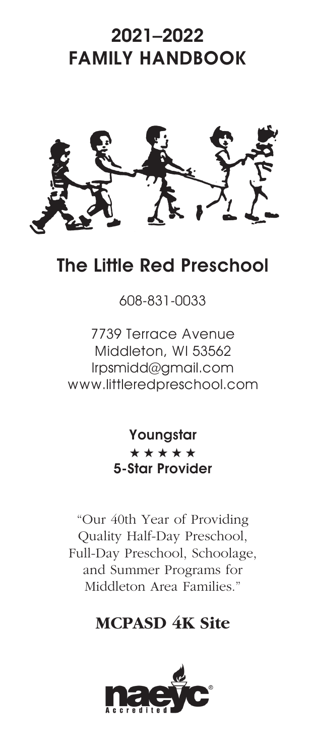# 2021–2022 FAMILY HANDBOOK



## The Little Red Preschool

## 608-831-0033

7739 Terrace Avenue Middleton, WI 53562 lrpsmidd@gmail.com www.littleredpreschool.com

> Youngstar \*\*\*\*\* 5-Star Provider

"Our 40th Year of Providing Quality Half-Day Preschool, Full-Day Preschool, Schoolage, and Summer Programs for Middleton Area Families."

## **MCPASD 4K Site**

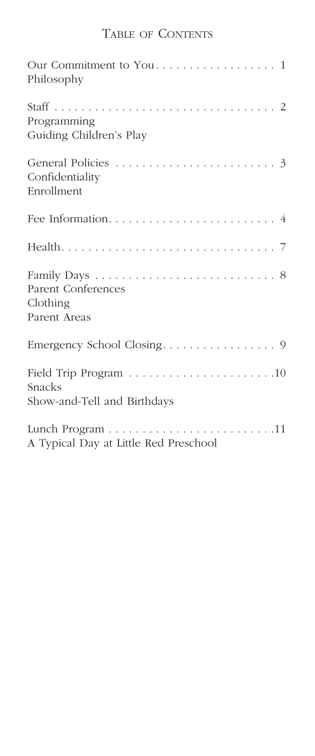### Table of Contents

| Philosophy                             |
|----------------------------------------|
|                                        |
| Programming<br>Guiding Children's Play |
|                                        |
| Confidentiality                        |
| Enrollment                             |
|                                        |
|                                        |
|                                        |
| Parent Conferences                     |
| Clothing<br>Parent Areas               |
|                                        |
|                                        |
| Snacks                                 |
| Show-and-Tell and Birthdays            |
|                                        |
| A Typical Day at Little Red Preschool  |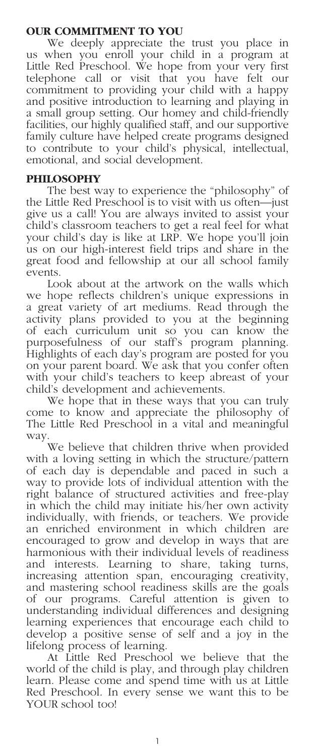#### **OUR COMMITMENT TO YOU**

We deeply appreciate the trust you place in us when you enroll your child in a program at Little Red Preschool. We hope from your very first telephone call or visit that you have felt our commitment to providing your child with a happy and positive introduction to learning and playing in a small group setting. Our homey and child-friendly facilities, our highly qualified staff, and our supportive family culture have helped create programs designed to contribute to your child's physical, intellectual, emotional, and social development.

#### **PHILOSOPHY**

The best way to experience the "philosophy" of the Little Red Preschool is to visit with us often—just give us a call! You are always invited to assist your child's classroom teachers to get a real feel for what your child's day is like at LRP. We hope you'll join us on our high-interest field trips and share in the great food and fellowship at our all school family events.

Look about at the artwork on the walls which we hope reflects children's unique expressions in a great variety of art mediums. Read through the activity plans provided to you at the beginning of each curriculum unit so you can know the purposefulness of our staff's program planning. Highlights of each day's program are posted for you on your parent board. We ask that you confer often with your child's teachers to keep abreast of your child's development and achievements.

We hope that in these ways that you can truly come to know and appreciate the philosophy of The Little Red Preschool in a vital and meaningful way.

We believe that children thrive when provided with a loving setting in which the structure/pattern of each day is dependable and paced in such a way to provide lots of individual attention with the right balance of structured activities and free-play in which the child may initiate his/her own activity individually, with friends, or teachers. We provide an enriched environment in which children are encouraged to grow and develop in ways that are harmonious with their individual levels of readiness and interests. Learning to share, taking turns, increasing attention span, encouraging creativity, and mastering school readiness skills are the goals of our programs. Careful attention is given to understanding individual differences and designing learning experiences that encourage each child to develop a positive sense of self and a joy in the lifelong process of learning.

At Little Red Preschool we believe that the world of the child is play, and through play children learn. Please come and spend time with us at Little Red Preschool. In every sense we want this to be YOUR school too!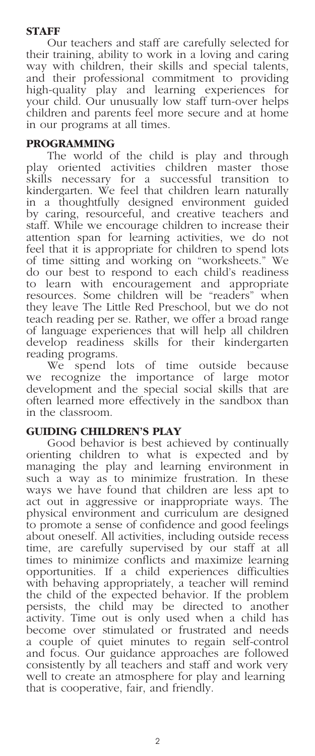#### **STAFF**

Our teachers and staff are carefully selected for their training, ability to work in a loving and caring way with children, their skills and special talents, and their professional commitment to providing high-quality play and learning experiences for your child. Our unusually low staff turn-over helps children and parents feel more secure and at home in our programs at all times.

#### **PROGRAMMING**

The world of the child is play and through play oriented activities children master those skills necessary for a successful transition to kindergarten. We feel that children learn naturally in a thoughtfully designed environment guided by caring, resourceful, and creative teachers and staff. While we encourage children to increase their attention span for learning activities, we do not feel that it is appropriate for children to spend lots of time sitting and working on "worksheets." We do our best to respond to each child's readiness to learn with encouragement and appropriate resources. Some children will be "readers" when they leave The Little Red Preschool, but we do not teach reading per se. Rather, we offer a broad range of language experiences that will help all children develop readiness skills for their kindergarten reading programs.

We spend lots of time outside because we recognize the importance of large motor development and the special social skills that are often learned more effectively in the sandbox than in the classroom.

#### **GUIDING CHILDREN'S PLAY**

Good behavior is best achieved by continually orienting children to what is expected and by managing the play and learning environment in such a way as to minimize frustration. In these ways we have found that children are less apt to act out in aggressive or inappropriate ways. The physical environment and curriculum are designed to promote a sense of confidence and good feelings about oneself. All activities, including outside recess time, are carefully supervised by our staff at all times to minimize conflicts and maximize learning opportunities. If a child experiences difficulties with behaving appropriately, a teacher will remind the child of the expected behavior. If the problem persists, the child may be directed to another activity. Time out is only used when a child has become over stimulated or frustrated and needs a couple of quiet minutes to regain self-control and focus. Our guidance approaches are followed consistently by all teachers and staff and work very well to create an atmosphere for play and learning that is cooperative, fair, and friendly.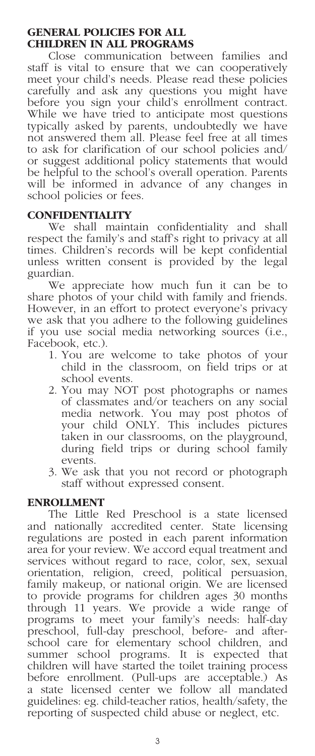#### **GENERAL POLICIES FOR ALL CHILDREN IN ALL PROGRAMS**

Close communication between families and staff is vital to ensure that we can cooperatively meet your child's needs. Please read these policies carefully and ask any questions you might have before you sign your child's enrollment contract. While we have tried to anticipate most questions typically asked by parents, undoubtedly we have not answered them all. Please feel free at all times to ask for clarification of our school policies and/ or suggest additional policy statements that would be helpful to the school's overall operation. Parents will be informed in advance of any changes in school policies or fees.

#### **CONFIDENTIALITY**

We shall maintain confidentiality and shall respect the family's and staff's right to privacy at all times. Children's records will be kept confidential unless written consent is provided by the legal guardian.

We appreciate how much fun it can be to share photos of your child with family and friends. However, in an effort to protect everyone's privacy we ask that you adhere to the following guidelines if you use social media networking sources (i.e., Facebook, etc.).

- 1. You are welcome to take photos of your child in the classroom, on field trips or at school events.
- 2. You may NOT post photographs or names of classmates and/or teachers on any social media network. You may post photos of your child ONLY. This includes pictures taken in our classrooms, on the playground, during field trips or during school family events.
- 3. We ask that you not record or photograph staff without expressed consent.

#### **ENROLLMENT**

The Little Red Preschool is a state licensed and nationally accredited center. State licensing regulations are posted in each parent information area for your review. We accord equal treatment and services without regard to race, color, sex, sexual orientation, religion, creed, political persuasion, family makeup, or national origin. We are licensed to provide programs for children ages 30 months through 11 years. We provide a wide range of programs to meet your family's needs: half-day preschool, full-day preschool, before- and afterschool care for elementary school children, and summer school programs. It is expected that children will have started the toilet training process before enrollment. (Pull-ups are acceptable.) As a state licensed center we follow all mandated guidelines: eg. child-teacher ratios, health/safety, the reporting of suspected child abuse or neglect, etc.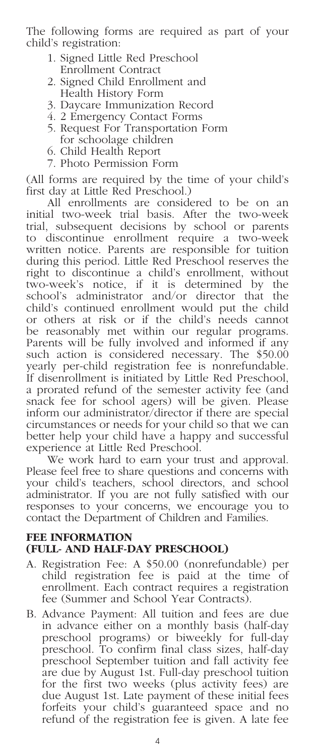The following forms are required as part of your child's registration:

- 1. Signed Little Red Preschool Enrollment Contract
- 2. Signed Child Enrollment and Health History Form
- 3. Daycare Immunization Record
- 4. 2 Emergency Contact Forms
- 5. Request For Transportation Form for schoolage children
- 6. Child Health Report
- 7. Photo Permission Form

(All forms are required by the time of your child's first day at Little Red Preschool.)

All enrollments are considered to be on an initial two-week trial basis. After the two-week trial, subsequent decisions by school or parents to discontinue enrollment require a two-week written notice. Parents are responsible for tuition during this period. Little Red Preschool reserves the right to discontinue a child's enrollment, without two-week's notice, if it is determined by the school's administrator and/or director that the child's continued enrollment would put the child or others at risk or if the child's needs cannot be reasonably met within our regular programs. Parents will be fully involved and informed if any such action is considered necessary. The \$50.00 yearly per-child registration fee is nonrefundable. If disenrollment is initiated by Little Red Preschool, a prorated refund of the semester activity fee (and snack fee for school agers) will be given. Please inform our administrator/director if there are special circumstances or needs for your child so that we can better help your child have a happy and successful experience at Little Red Preschool.

We work hard to earn your trust and approval. Please feel free to share questions and concerns with your child's teachers, school directors, and school administrator. If you are not fully satisfied with our responses to your concerns, we encourage you to contact the Department of Children and Families.

#### **FEE INFORMATION (FULL- AND HALF-DAY PRESCHOOL)**

- A. Registration Fee: A \$50.00 (nonrefundable) per child registration fee is paid at the time of enrollment. Each contract requires a registration fee (Summer and School Year Contracts).
- B. Advance Payment: All tuition and fees are due in advance either on a monthly basis (half-day preschool programs) or biweekly for full-day preschool. To confirm final class sizes, half-day preschool September tuition and fall activity fee are due by August 1st. Full-day preschool tuition for the first two weeks (plus activity fees) are due August 1st. Late payment of these initial fees forfeits your child's guaranteed space and no refund of the registration fee is given. A late fee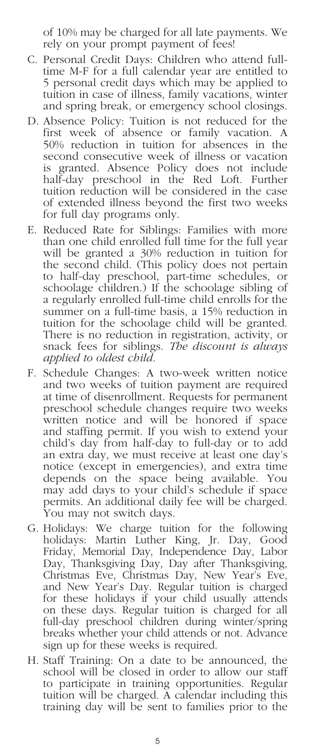of 10% may be charged for all late payments. We rely on your prompt payment of fees!

- C. Personal Credit Days: Children who attend fulltime M-F for a full calendar year are entitled to 5 personal credit days which may be applied to tuition in case of illness, family vacations, winter and spring break, or emergency school closings.
- D. Absence Policy: Tuition is not reduced for the first week of absence or family vacation. A 50% reduction in tuition for absences in the second consecutive week of illness or vacation is granted. Absence Policy does not include half-day preschool in the Red Loft. Further tuition reduction will be considered in the case of extended illness beyond the first two weeks for full day programs only.
- E. Reduced Rate for Siblings: Families with more than one child enrolled full time for the full year will be granted a 30% reduction in tuition for the second child. (This policy does not pertain to half-day preschool, part-time schedules, or schoolage children.) If the schoolage sibling of a regularly enrolled full-time child enrolls for the summer on a full-time basis, a 15% reduction in tuition for the schoolage child will be granted. There is no reduction in registration, activity, or snack fees for siblings. *The discount is always applied to oldest child*.
- F. Schedule Changes: A two-week written notice and two weeks of tuition payment are required at time of disenrollment. Requests for permanent preschool schedule changes require two weeks written notice and will be honored if space and staffing permit. If you wish to extend your child's day from half-day to full-day or to add an extra day, we must receive at least one day's notice (except in emergencies), and extra time depends on the space being available. You may add days to your child's schedule if space permits. An additional daily fee will be charged. You may not switch days.
- G. Holidays: We charge tuition for the following holidays: Martin Luther King, Jr. Day, Good Friday, Memorial Day, Independence Day, Labor Day, Thanksgiving Day, Day after Thanksgiving, Christmas Eve, Christmas Day, New Year's Eve, and New Year's Day. Regular tuition is charged for these holidays if your child usually attends on these days. Regular tuition is charged for all full-day preschool children during winter/spring breaks whether your child attends or not. Advance sign up for these weeks is required.
- H. Staff Training: On a date to be announced, the school will be closed in order to allow our staff to participate in training opportunities. Regular tuition will be charged. A calendar including this training day will be sent to families prior to the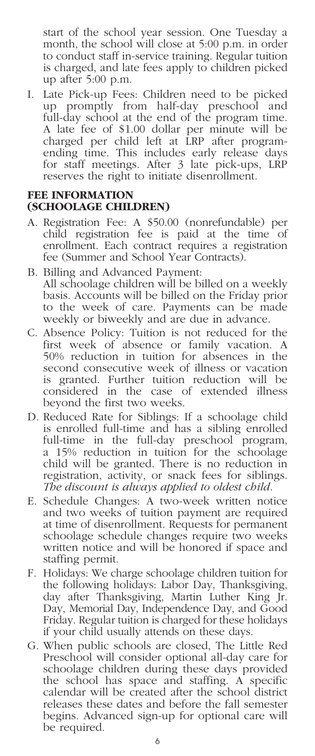start of the school year session. One Tuesday a month, the school will close at 5:00 p.m. in order to conduct staff in-service training. Regular tuition is charged, and late fees apply to children picked up after 5:00 p.m.

I. Late Pick-up Fees: Children need to be picked up promptly from half-day preschool and full-day school at the end of the program time. A late fee of \$1.00 dollar per minute will be charged per child left at LRP after programending time. This includes early release days for staff meetings. After 3 late pick-ups, LRP reserves the right to initiate disenrollment.

#### **FEE INFORMATION (SCHOOLAGE CHILDREN)**

- A. Registration Fee: A \$50.00 (nonrefundable) per child registration fee is paid at the time of enrollment. Each contract requires a registration fee (Summer and School Year Contracts).
- B. Billing and Advanced Payment: All schoolage children will be billed on a weekly basis. Accounts will be billed on the Friday prior to the week of care. Payments can be made weekly or biweekly and are due in advance.
- C. Absence Policy: Tuition is not reduced for the first week of absence or family vacation. A 50% reduction in tuition for absences in the second consecutive week of illness or vacation is granted. Further tuition reduction will be considered in the case of extended illness beyond the first two weeks.
- D. Reduced Rate for Siblings: If a schoolage child is enrolled full-time and has a sibling enrolled full-time in the full-day preschool program, a 15% reduction in tuition for the schoolage child will be granted. There is no reduction in registration, activity, or snack fees for siblings. *The discount is always applied to oldest child*.
- E. Schedule Changes: A two-week written notice and two weeks of tuition payment are required at time of disenrollment. Requests for permanent schoolage schedule changes require two weeks written notice and will be honored if space and staffing permit.
- F. Holidays: We charge schoolage children tuition for the following holidays: Labor Day, Thanksgiving, day after Thanksgiving, Martin Luther King Jr. Day, Memorial Day, Independence Day, and Good Friday. Regular tuition is charged for these holidays if your child usually attends on these days.
- G. When public schools are closed, The Little Red Preschool will consider optional all-day care for schoolage children during these days provided the school has space and staffing. A specific calendar will be created after the school district releases these dates and before the fall semester begins. Advanced sign-up for optional care will be required.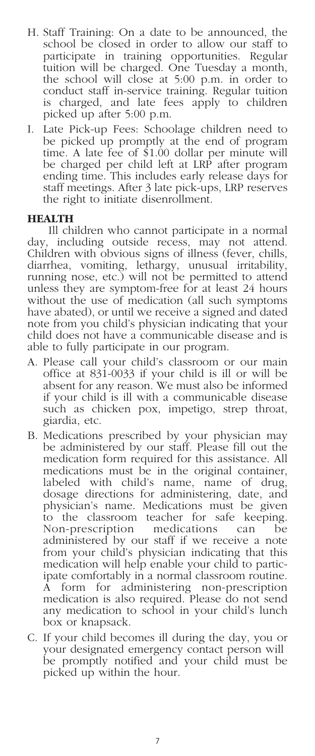- H. Staff Training: On a date to be announced, the school be closed in order to allow our staff to participate in training opportunities. Regular tuition will be charged. One Tuesday a month, the school will close at 5:00 p.m. in order to conduct staff in-service training. Regular tuition is charged, and late fees apply to children picked up after 5:00 p.m.
- I. Late Pick-up Fees: Schoolage children need to be picked up promptly at the end of program time. A late fee of \$1.00 dollar per minute will be charged per child left at LRP after program ending time. This includes early release days for staff meetings. After 3 late pick-ups, LRP reserves the right to initiate disenrollment.

#### **HEALTH**

Ill children who cannot participate in a normal day, including outside recess, may not attend. Children with obvious signs of illness (fever, chills, diarrhea, vomiting, lethargy, unusual irritability, running nose, etc.) will not be permitted to attend unless they are symptom-free for at least 24 hours without the use of medication (all such symptoms have abated), or until we receive a signed and dated note from you child's physician indicating that your child does not have a communicable disease and is able to fully participate in our program.

- A. Please call your child's classroom or our main office at 831-0033 if your child is ill or will be absent for any reason. We must also be informed if your child is ill with a communicable disease such as chicken pox, impetigo, strep throat, giardia, etc.
- B. Medications prescribed by your physician may be administered by our staff. Please fill out the medication form required for this assistance. All medications must be in the original container, labeled with child's name, name of drug, dosage directions for administering, date, and physician's name. Medications must be given to the classroom teacher for safe keeping. Non-prescription medications can be administered by our staff if we receive a note from your child's physician indicating that this medication will help enable your child to partic- ipate comfortably in a normal classroom routine. A form for administering non-prescription medication is also required. Please do not send any medication to school in your child's lunch box or knapsack.
- C. If your child becomes ill during the day, you or your designated emergency contact person will be promptly notified and your child must be picked up within the hour.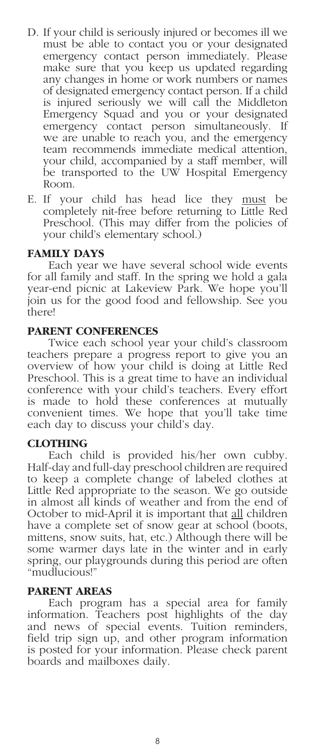- D. If your child is seriously injured or becomes ill we must be able to contact you or your designated emergency contact person immediately. Please make sure that you keep us updated regarding any changes in home or work numbers or names of designated emergency contact person. If a child is injured seriously we will call the Middleton Emergency Squad and you or your designated emergency contact person simultaneously. If we are unable to reach you, and the emergency team recommends immediate medical attention, your child, accompanied by a staff member, will be transported to the UW Hospital Emergency Room.
- E. If your child has head lice they must be completely nit-free before returning to Little Red Preschool. (This may differ from the policies of your child's elementary school.)

#### **FAMILY DAYS**

Each year we have several school wide events for all family and staff. In the spring we hold a gala year-end picnic at Lakeview Park. We hope you'll join us for the good food and fellowship. See you there!

#### **PARENT CONFERENCES**

Twice each school year your child's classroom teachers prepare a progress report to give you an overview of how your child is doing at Little Red Preschool. This is a great time to have an individual conference with your child's teachers. Every effort is made to hold these conferences at mutually convenient times. We hope that you'll take time each day to discuss your child's day.

#### **CLOTHING**

Each child is provided his/her own cubby. Half-day and full-day preschool children are required to keep a complete change of labeled clothes at Little Red appropriate to the season. We go outside in almost all kinds of weather and from the end of October to mid-April it is important that all children have a complete set of snow gear at school (boots, mittens, snow suits, hat, etc.) Although there will be some warmer days late in the winter and in early spring, our playgrounds during this period are often "mudlucious!"

#### **PARENT AREAS**

Each program has a special area for family information. Teachers post highlights of the day and news of special events. Tuition reminders, field trip sign up, and other program information is posted for your information. Please check parent boards and mailboxes daily.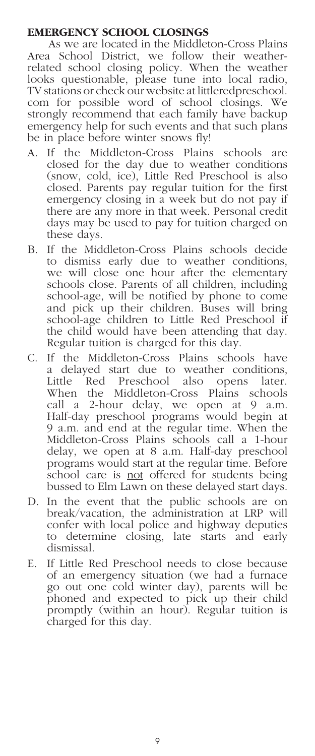#### **EMERGENCY SCHOOL CLOSINGS**

As we are located in the Middleton-Cross Plains Area School District, we follow their weatherrelated school closing policy. When the weather looks questionable, please tune into local radio, TV stations or check our website at littleredpreschool. com for possible word of school closings. We strongly recommend that each family have backup emergency help for such events and that such plans be in place before winter snows fly!

- A. If the Middleton-Cross Plains schools are closed for the day due to weather conditions (snow, cold, ice), Little Red Preschool is also closed. Parents pay regular tuition for the first emergency closing in a week but do not pay if there are any more in that week. Personal credit days may be used to pay for tuition charged on these days.
- B. If the Middleton-Cross Plains schools decide to dismiss early due to weather conditions, we will close one hour after the elementary schools close. Parents of all children, including school-age, will be notified by phone to come and pick up their children. Buses will bring school-age children to Little Red Preschool if the child would have been attending that day. Regular tuition is charged for this day.
- C. If the Middleton-Cross Plains schools have a delayed start due to weather conditions, Little Red Preschool also opens later. When the Middleton-Cross Plains schools call a 2-hour delay, we open at 9 a.m. Half-day preschool programs would begin at 9 a.m. and end at the regular time. When the Middleton-Cross Plains schools call a 1-hour delay, we open at 8 a.m. Half-day preschool programs would start at the regular time. Before school care is not offered for students being bussed to Elm Lawn on these delayed start days.
- D. In the event that the public schools are on break/vacation, the administration at LRP will confer with local police and highway deputies to determine closing, late starts and early dismissal.
- E. If Little Red Preschool needs to close because of an emergency situation (we had a furnace go out one cold winter day), parents will be phoned and expected to pick up their child promptly (within an hour). Regular tuition is charged for this day.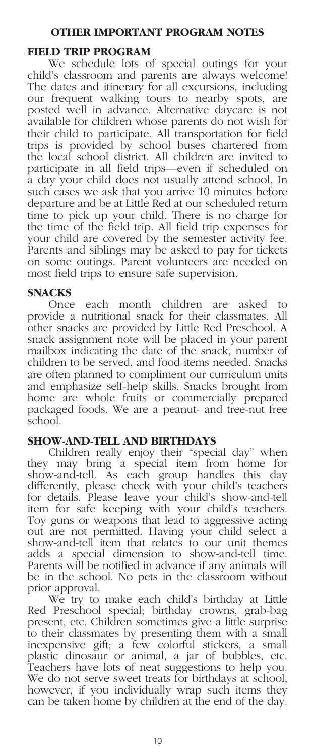#### **OTHER IMPORTANT PROGRAM NOTES**

#### **FIELD TRIP PROGRAM**

We schedule lots of special outings for your child's classroom and parents are always welcome! The dates and itinerary for all excursions, including our frequent walking tours to nearby spots, are posted well in advance. Alternative daycare is not available for children whose parents do not wish for their child to participate. All transportation for field trips is provided by school buses chartered from the local school district. All children are invited to participate in all field trips—even if scheduled on a day your child does not usually attend school. In such cases we ask that you arrive 10 minutes before departure and be at Little Red at our scheduled return time to pick up your child. There is no charge for the time of the field trip. All field trip expenses for your child are covered by the semester activity fee. Parents and siblings may be asked to pay for tickets on some outings. Parent volunteers are needed on most field trips to ensure safe supervision.

#### **SNACKS**

Once each month children are asked to provide a nutritional snack for their classmates. All other snacks are provided by Little Red Preschool. A snack assignment note will be placed in your parent mailbox indicating the date of the snack, number of children to be served, and food items needed. Snacks are often planned to compliment our curriculum units and emphasize self-help skills. Snacks brought from home are whole fruits or commercially prepared packaged foods. We are a peanut- and tree-nut free school.

#### **SHOW-AND-TELL AND BIRTHDAYS**

Children really enjoy their "special day" when they may bring a special item from home for show-and-tell. As each group handles this day differently, please check with your child's teachers for details. Please leave your child's show-and-tell item for safe keeping with your child's teachers. Toy guns or weapons that lead to aggressive acting out are not permitted. Having your child select a show-and-tell item that relates to our unit themes adds a special dimension to show-and-tell time. Parents will be notified in advance if any animals will be in the school. No pets in the classroom without prior approval.

We try to make each child's birthday at Little Red Preschool special; birthday crowns, grab-bag present, etc. Children sometimes give a little surprise to their classmates by presenting them with a small inexpensive gift; a few colorful stickers, a small plastic dinosaur or animal, a jar of bubbles, etc. Teachers have lots of neat suggestions to help you. We do not serve sweet treats for birthdays at school, however, if you individually wrap such items they can be taken home by children at the end of the day.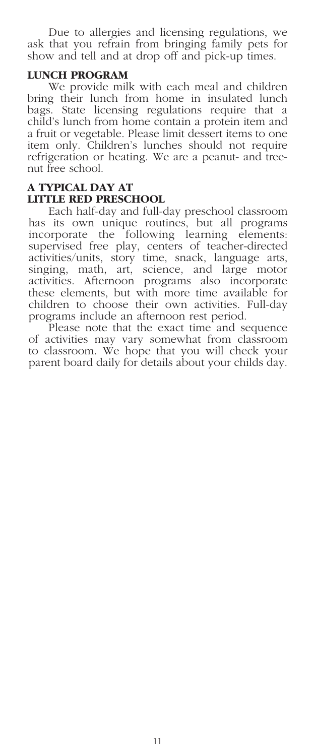Due to allergies and licensing regulations, we ask that you refrain from bringing family pets for show and tell and at drop off and pick-up times.

#### **LUNCH PROGRAM**

We provide milk with each meal and children bring their lunch from home in insulated lunch bags. State licensing regulations require that a child's lunch from home contain a protein item and a fruit or vegetable. Please limit dessert items to one item only. Children's lunches should not require refrigeration or heating. We are a peanut- and treenut free school.

#### **A TYPICAL DAY AT LITTLE RED PRESCHOOL**

Each half-day and full-day preschool classroom has its own unique routines, but all programs incorporate the following learning elements: supervised free play, centers of teacher-directed activities/units, story time, snack, language arts, singing, math, art, science, and large motor activities. Afternoon programs also incorporate these elements, but with more time available for children to choose their own activities. Full-day programs include an afternoon rest period.

Please note that the exact time and sequence of activities may vary somewhat from classroom to classroom. We hope that you will check your parent board daily for details about your childs day.